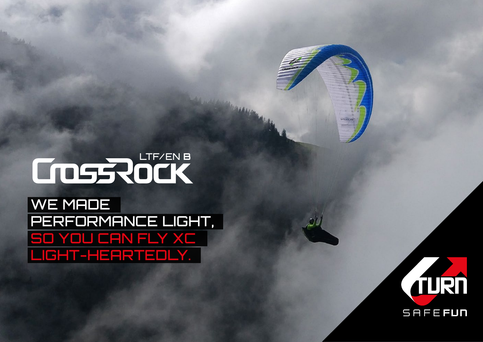## LTE/EN B

WE MADE performance light, so you can fly XC light-heartedly.



u-turn de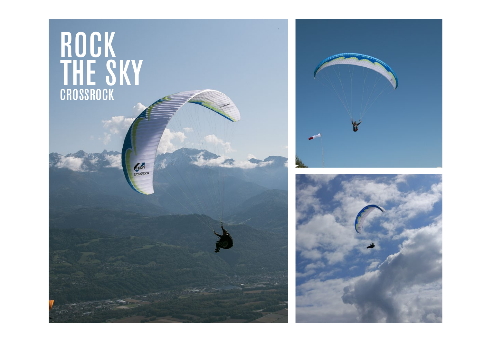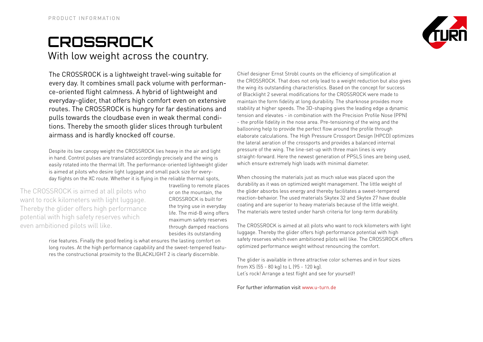## **CrossRock** With low weight across the country.



The CROSSROCK is a lightweight travel-wing suitable for every day. It combines small pack volume with performance-oriented flight calmness. A hybrid of lightweight and everyday-glider, that offers high comfort even on extensive routes. The CROSSROCK is hungry for far destinations and pulls towards the cloudbase even in weak thermal conditions. Thereby the smooth glider slices through turbulent airmass and is hardly knocked off course.

Despite its low canopy weight the CROSSROCK lies heavy in the air and light in hand. Control pulses are translated accordingly precisely and the wing is easily rotated into the thermal lift. The performance-oriented lightweight glider is aimed at pilots who desire light luggage and small pack size for everyday flights on the XC route. Whether it is flying in the reliable thermal spots,

The CROSSROCK is aimed at all pilots who want to rock kilometers with light luggage. Thereby the glider offers high performance potential with high safety reserves which even ambitioned pilots will like.

travelling to remote places or on the mountain, the CROSSROCK is built for the trying use in everyday life. The mid-B wing offers maximum safety reserves through damped reactions besides its outstanding

rise features. Finally the good feeling is what ensures the lasting comfort on long routes. At the high performance capability and the sweet-tempered features the constructional proximity to the BLACKLIGHT 2 is clearly discernible.

Chief designer Ernst Strobl counts on the efficiency of simplification at the CROSSROCK. That does not only lead to a weight reduction but also gives the wing its outstanding characteristics. Based on the concept for success of Blacklight 2 several modifications for the CROSSROCK were made to maintain the form fidelity at long durability. The sharknose provides more stability at higher speeds. The 3D-shaping gives the leading edge a dynamic tension and elevates - in combination with the Precision Profile Nose (PPN) - the profile fidelity in the nose area. Pre-tensioning of the wing and the ballooning help to provide the perfect flow around the profile through elaborate calculations. The High Pressure Crossport Design (HPCD) optimizes the lateral aeration of the crossports and provides a balanced internal pressure of the wing. The line-set-up with three main lines is very straight-forward. Here the newest generation of PPSLS lines are being used, which ensure extremely high loads with minimal diameter.

When choosing the materials just as much value was placed upon the durability as it was on optimized weight management. The little weight of the glider absorbs less energy and thereby facilitates a sweet-tempered reaction-behavior. The used materials Skytex 32 and Skytex 27 have double coating and are superior to heavy materials because of the little weight. The materials were tested under harsh criteria for long-term durability.

The CROSSROCK is aimed at all pilots who want to rock kilometers with light luggage. Thereby the glider offers high performance potential with high safety reserves which even ambitioned pilots will like. The CROSSROCK offers optimized performance weight without renouncing the comfort.

The glider is available in three attractive color schemes and in four sizes from XS (55 - 80 kg) to L (95 - 120 kg). Let's rock! Arrange a test flight and see for yourself!

For further information visit www.u-turn.de